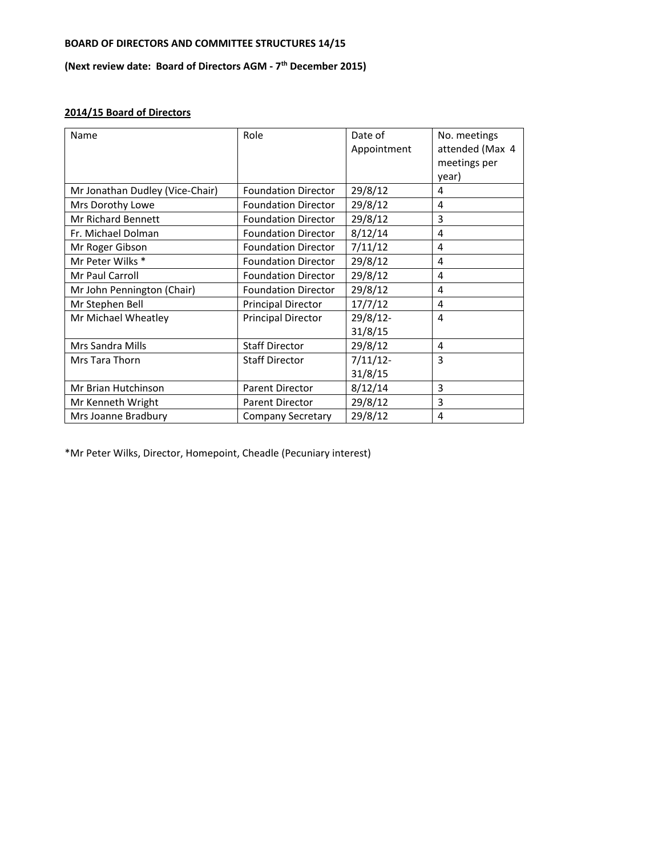## **BOARD OF DIRECTORS AND COMMITTEE STRUCTURES 14/15**

## **(Next review date: Board of Directors AGM ‐ 7th December 2015)**

## **2014/15 Board of Directors**

| Name                            | Role                       | Date of<br>Appointment | No. meetings<br>attended (Max 4<br>meetings per<br>year) |
|---------------------------------|----------------------------|------------------------|----------------------------------------------------------|
| Mr Jonathan Dudley (Vice-Chair) | <b>Foundation Director</b> | 29/8/12                | 4                                                        |
| Mrs Dorothy Lowe                | <b>Foundation Director</b> | 29/8/12                | 4                                                        |
| Mr Richard Bennett              | <b>Foundation Director</b> | 29/8/12                | 3                                                        |
| Fr. Michael Dolman              | <b>Foundation Director</b> | 8/12/14                | 4                                                        |
| Mr Roger Gibson                 | <b>Foundation Director</b> | 7/11/12                | 4                                                        |
| Mr Peter Wilks *                | <b>Foundation Director</b> | 29/8/12                | 4                                                        |
| Mr Paul Carroll                 | <b>Foundation Director</b> | 29/8/12                | 4                                                        |
| Mr John Pennington (Chair)      | <b>Foundation Director</b> | 29/8/12                | $\overline{4}$                                           |
| Mr Stephen Bell                 | <b>Principal Director</b>  | 17/7/12                | 4                                                        |
| Mr Michael Wheatley             | <b>Principal Director</b>  | 29/8/12-               | 4                                                        |
|                                 |                            | 31/8/15                |                                                          |
| Mrs Sandra Mills                | <b>Staff Director</b>      | 29/8/12                | $\overline{4}$                                           |
| Mrs Tara Thorn                  | <b>Staff Director</b>      | $7/11/12$ -            | 3                                                        |
|                                 |                            | 31/8/15                |                                                          |
| Mr Brian Hutchinson             | Parent Director            | 8/12/14                | 3                                                        |
| Mr Kenneth Wright               | <b>Parent Director</b>     | 29/8/12                | 3                                                        |
| Mrs Joanne Bradbury             | <b>Company Secretary</b>   | 29/8/12                | 4                                                        |

\*Mr Peter Wilks, Director, Homepoint, Cheadle (Pecuniary interest)